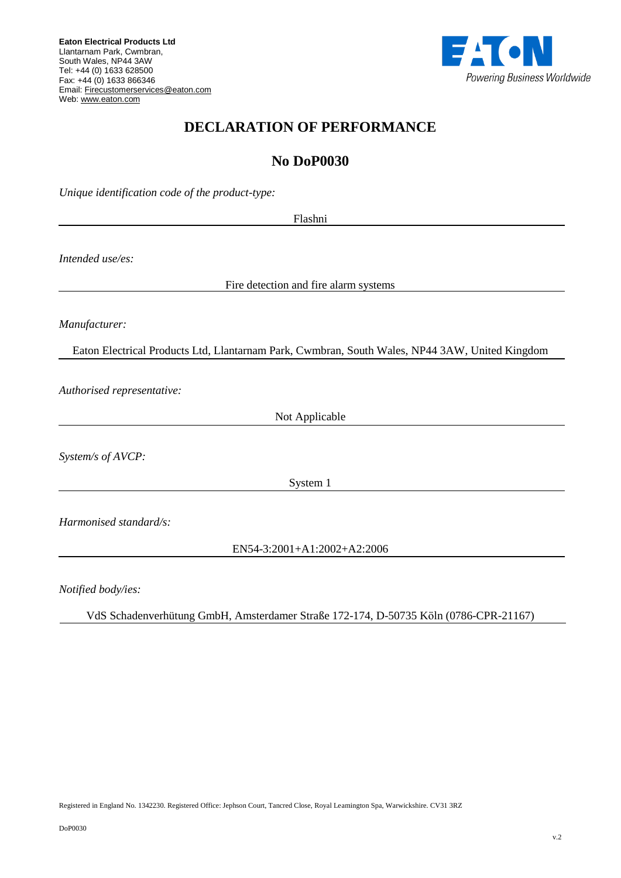

## **DECLARATION OF PERFORMANCE**

## **No DoP0030**

*Unique identification code of the product-type:*

Flashni

*Intended use/es:*

Fire detection and fire alarm systems

*Manufacturer:*

Eaton Electrical Products Ltd, Llantarnam Park, Cwmbran, South Wales, NP44 3AW, United Kingdom

*Authorised representative:*

Not Applicable

*System/s of AVCP:*

System 1

*Harmonised standard/s:*

EN54-3:2001+A1:2002+A2:2006

*Notified body/ies:*

VdS Schadenverhütung GmbH, Amsterdamer Straße 172-174, D-50735 Kӧln (0786-CPR-21167)

Registered in England No. 1342230. Registered Office: Jephson Court, Tancred Close, Royal Leamington Spa, Warwickshire. CV31 3RZ